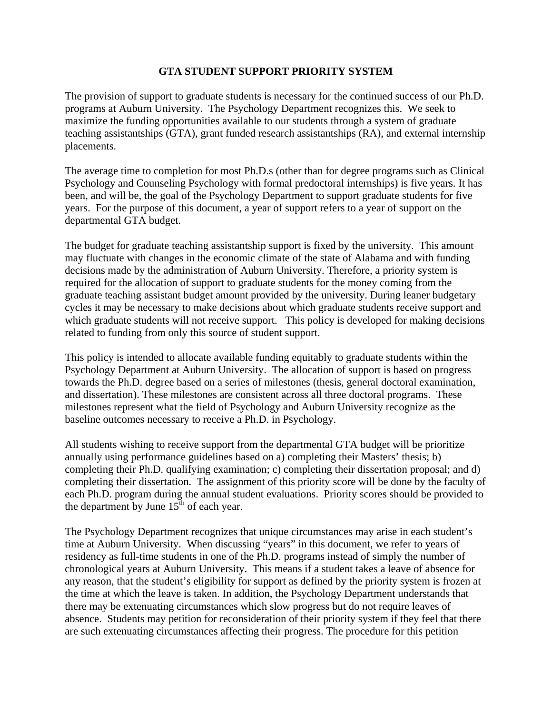#### **GTA STUDENT SUPPORT PRIORITY SYSTEM**

The provision of support to graduate students is necessary for the continued success of our Ph.D. programs at Auburn University. The Psychology Department recognizes this. We seek to maximize the funding opportunities available to our students through a system of graduate teaching assistantships (GTA), grant funded research assistantships (RA), and external internship placements.

The average time to completion for most Ph.D.s (other than for degree programs such as Clinical Psychology and Counseling Psychology with formal predoctoral internships) is five years. It has been, and will be, the goal of the Psychology Department to support graduate students for five years. For the purpose of this document, a year of support refers to a year of support on the departmental GTA budget.

The budget for graduate teaching assistantship support is fixed by the university. This amount may fluctuate with changes in the economic climate of the state of Alabama and with funding decisions made by the administration of Auburn University. Therefore, a priority system is required for the allocation of support to graduate students for the money coming from the graduate teaching assistant budget amount provided by the university. During leaner budgetary cycles it may be necessary to make decisions about which graduate students receive support and which graduate students will not receive support. This policy is developed for making decisions related to funding from only this source of student support.

This policy is intended to allocate available funding equitably to graduate students within the Psychology Department at Auburn University. The allocation of support is based on progress towards the Ph.D. degree based on a series of milestones (thesis, general doctoral examination, and dissertation). These milestones are consistent across all three doctoral programs. These milestones represent what the field of Psychology and Auburn University recognize as the baseline outcomes necessary to receive a Ph.D. in Psychology.

All students wishing to receive support from the departmental GTA budget will be prioritize annually using performance guidelines based on a) completing their Masters' thesis; b) completing their Ph.D. qualifying examination; c) completing their dissertation proposal; and d) completing their dissertation. The assignment of this priority score will be done by the faculty of each Ph.D. program during the annual student evaluations. Priority scores should be provided to the department by June  $15<sup>th</sup>$  of each year.

The Psychology Department recognizes that unique circumstances may arise in each student's time at Auburn University. When discussing "years" in this document, we refer to years of residency as full-time students in one of the Ph.D. programs instead of simply the number of chronological years at Auburn University. This means if a student takes a leave of absence for any reason, that the student's eligibility for support as defined by the priority system is frozen at the time at which the leave is taken. In addition, the Psychology Department understands that there may be extenuating circumstances which slow progress but do not require leaves of absence. Students may petition for reconsideration of their priority system if they feel that there are such extenuating circumstances affecting their progress. The procedure for this petition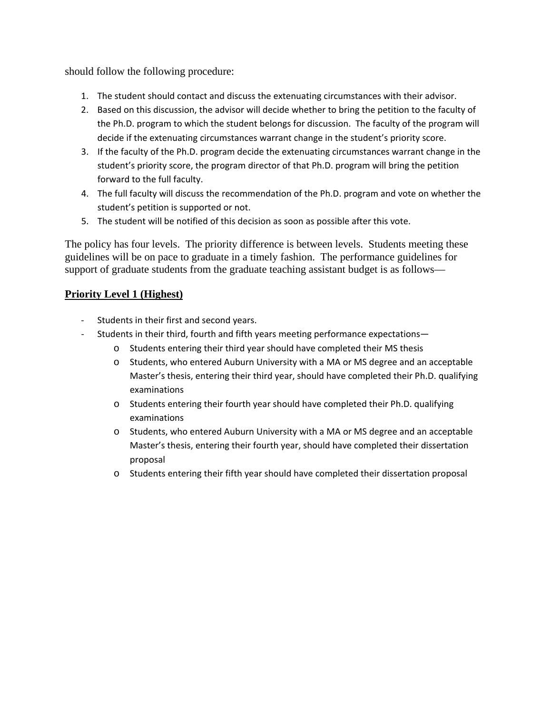should follow the following procedure:

- 1. The student should contact and discuss the extenuating circumstances with their advisor.
- 2. Based on this discussion, the advisor will decide whether to bring the petition to the faculty of the Ph.D. program to which the student belongs for discussion. The faculty of the program will decide if the extenuating circumstances warrant change in the student's priority score.
- 3. If the faculty of the Ph.D. program decide the extenuating circumstances warrant change in the student's priority score, the program director of that Ph.D. program will bring the petition forward to the full faculty.
- 4. The full faculty will discuss the recommendation of the Ph.D. program and vote on whether the student's petition is supported or not.
- 5. The student will be notified of this decision as soon as possible after this vote.

The policy has four levels. The priority difference is between levels. Students meeting these guidelines will be on pace to graduate in a timely fashion. The performance guidelines for support of graduate students from the graduate teaching assistant budget is as follows—

# **Priority Level 1 (Highest)**

- Students in their first and second years.
- Students in their third, fourth and fifth years meeting performance expectations
	- o Students entering their third year should have completed their MS thesis
	- o Students, who entered Auburn University with a MA or MS degree and an acceptable Master's thesis, entering their third year, should have completed their Ph.D. qualifying examinations
	- o Students entering their fourth year should have completed their Ph.D. qualifying examinations
	- o Students, who entered Auburn University with a MA or MS degree and an acceptable Master's thesis, entering their fourth year, should have completed their dissertation proposal
	- o Students entering their fifth year should have completed their dissertation proposal